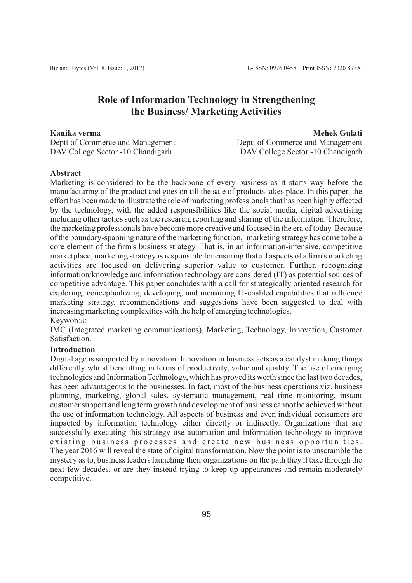# **Role of Information Technology in Strengthening the Business/ Marketing Activities**

**Kanika verma**

Deptt of Commerce and Management DAV College Sector -10 Chandigarh

 **Mehek Gulati** Deptt of Commerce and Management DAV College Sector -10 Chandigarh

## **Abstract**

Marketing is considered to be the backbone of every business as it starts way before the manufacturing of the product and goes on till the sale of products takes place. In this paper, the effort has been made to illustrate the role of marketing professionals that has been highly effected by the technology, with the added responsibilities like the social media, digital advertising including other tactics such as the research, reporting and sharing of the information. Therefore, the marketing professionals have become more creative and focused in the era of today. Because of the boundary-spanning nature of the marketing function, marketing strategy has come to be a core element of the firm's business strategy. That is, in an information-intensive, competitive marketplace, marketing strategy is responsible for ensuring that all aspects of a firm's marketing activities are focused on delivering superior value to customer. Further, recognizing information/knowledge and information technology are considered (IT) as potential sources of competitive advantage. This paper concludes with a call for strategically oriented research for exploring, conceptualizing, developing, and measuring IT-enabled capabilities that influence marketing strategy, recommendations and suggestions have been suggested to deal with increasing marketing complexities with the help of emerging technologies. Keywords:

IMC (Integrated marketing communications), Marketing, Technology, Innovation, Customer **Satisfaction** 

### **Introduction**

Digital age is supported by innovation. Innovation in business acts as a catalyst in doing things differently whilst benefitting in terms of productivity, value and quality. The use of emerging technologies and Information Technology, which has proved its worth since the last two decades, has been advantageous to the businesses. In fact, most of the business operations viz. business planning, marketing, global sales, systematic management, real time monitoring, instant customer support and long term growth and development of business cannot be achieved without the use of information technology. All aspects of business and even individual consumers are impacted by information technology either directly or indirectly. Organizations that are successfully executing this strategy use automation and information technology to improve existing business processes and create new business opportunities. The year 2016 will reveal the state of digital transformation. Now the point is to unscramble the mystery as to, business leaders launching their organizations on the path they'll take through the next few decades, or are they instead trying to keep up appearances and remain moderately competitive.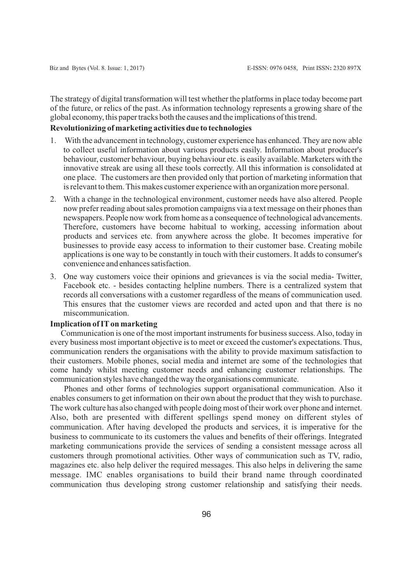The strategy of digital transformation will test whether the platforms in place today become part of the future, or relics of the past. As information technology represents a growing share of the global economy, this paper tracks both the causes and the implications of this trend.

#### **Revolutionizing of marketing activities due to technologies**

- 1. With the advancement in technology, customer experience has enhanced. They are now able to collect useful information about various products easily. Information about producer's behaviour, customer behaviour, buying behaviour etc. is easily available. Marketers with the innovative streak are using all these tools correctly. All this information is consolidated at one place. The customers are then provided only that portion of marketing information that is relevant to them. This makes customer experience with an organization more personal.
- 2. With a change in the technological environment, customer needs have also altered. People now prefer reading about sales promotion campaigns via a text message on their phones than newspapers. People now work from home as a consequence of technological advancements. Therefore, customers have become habitual to working, accessing information about products and services etc. from anywhere across the globe. It becomes imperative for businesses to provide easy access to information to their customer base. Creating mobile applications is one way to be constantly in touch with their customers. It adds to consumer's convenience and enhances satisfaction.
- 3. One way customers voice their opinions and grievances is via the social media- Twitter, Facebook etc. - besides contacting helpline numbers. There is a centralized system that records all conversations with a customer regardless of the means of communication used. This ensures that the customer views are recorded and acted upon and that there is no miscommunication.

#### **Implication of ITon marketing**

Communication is one of the most important instruments for business success. Also, today in every business most important objective is to meet or exceed the customer's expectations. Thus, communication renders the organisations with the ability to provide maximum satisfaction to their customers. Mobile phones, social media and internet are some of the technologies that come handy whilst meeting customer needs and enhancing customer relationships. The communication styles have changed the way the organisations communicate.

Phones and other forms of technologies support organisational communication. Also it enables consumers to get information on their own about the product that they wish to purchase. The work culture has also changed with people doing most of their work over phone and internet. Also, both are presented with different spellings spend money on different styles of communication. After having developed the products and services, it is imperative for the business to communicate to its customers the values and benefits of their offerings. Integrated marketing communications provide the services of sending a consistent message across all customers through promotional activities. Other ways of communication such as TV, radio, magazines etc. also help deliver the required messages. This also helps in delivering the same message. IMC enables organisations to build their brand name through coordinated communication thus developing strong customer relationship and satisfying their needs.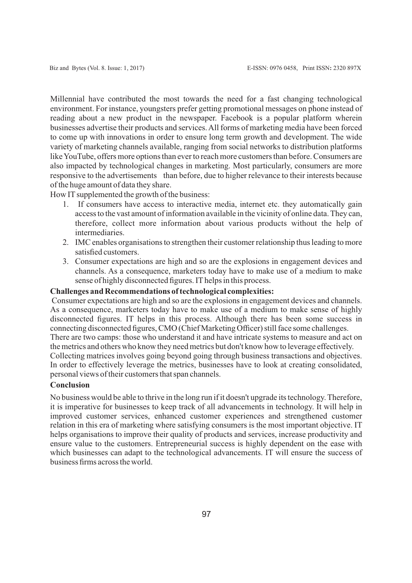Millennial have contributed the most towards the need for a fast changing technological environment. For instance, youngsters prefer getting promotional messages on phone instead of reading about a new product in the newspaper. Facebook is a popular platform wherein businesses advertise their products and services. All forms of marketing media have been forced to come up with innovations in order to ensure long term growth and development. The wide variety of marketing channels available, ranging from social networks to distribution platforms like YouTube, offers more options than ever to reach more customers than before. Consumers are also impacted by technological changes in marketing. Most particularly, consumers are more responsive to the advertisements than before, due to higher relevance to their interests because of the huge amount of data they share.

How IT supplemented the growth of the business:

- 1. If consumers have access to interactive media, internet etc. they automatically gain access to the vast amount of information available in the vicinity of online data. They can, therefore, collect more information about various products without the help of intermediaries.
- 2. IMC enables organisations to strengthen their customer relationship thus leading to more satisfied customers.
- 3. Consumer expectations are high and so are the explosions in engagement devices and channels. As a consequence, marketers today have to make use of a medium to make sense of highly disconnected figures. IT helps in this process.

#### **Challenges and Recommendations of technological complexities:**

Consumer expectations are high and so are the explosions in engagement devices and channels. As a consequence, marketers today have to make use of a medium to make sense of highly disconnected figures. IT helps in this process. Although there has been some success in connecting disconnected figures, CMO (Chief Marketing Officer) still face some challenges. There are two camps: those who understand it and have intricate systems to measure and act on the metrics and others who know they need metrics but don't know how to leverage effectively. Collecting matrices involves going beyond going through business transactions and objectives. In order to effectively leverage the metrics, businesses have to look at creating consolidated, personal views of their customers that span channels.

#### **Conclusion**

No business would be able to thrive in the long run if it doesn't upgrade its technology. Therefore, it is imperative for businesses to keep track of all advancements in technology. It will help in improved customer services, enhanced customer experiences and strengthened customer relation in this era of marketing where satisfying consumers is the most important objective. IT helps organisations to improve their quality of products and services, increase productivity and ensure value to the customers. Entrepreneurial success is highly dependent on the ease with which businesses can adapt to the technological advancements. IT will ensure the success of business firms across the world.